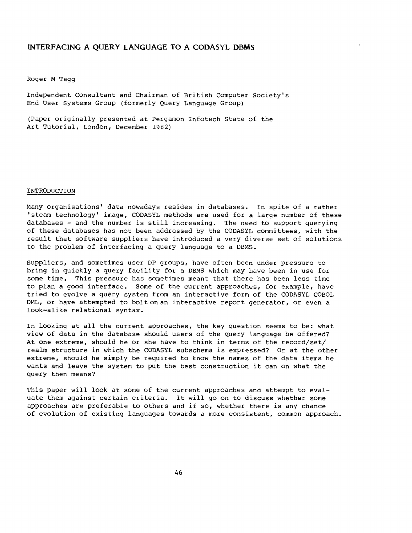## INTERFACING A QUERY LANGUAGE TO A CODASYL DBMS

Roger M Tagg

Independent Consultant and Chairman of British Computer Society's End User Systems Group (formerly Query Language Group)

(Paper originally presented at Pergamon Infotech State of the Art Tutorial, London, December 1982)

### INTRODUCTION

Many organisations' data nowadays resides in databases. In spite of a rather 'steam technology' image, CODASYL methods are used for a large number of these databases - and the number is still increasing. The need to support querying of these databases has not been addressed by the CODASYL committees, with the result that software suppliers have introduced a very diverse set of solutions to the problem of interfacing a query language to a DBMS.

Suppliers, and sometimes user DP groups, have often been under pressure to bring in quickly a query facility for a DBMS which may have been in use for some time. This pressure has sometimes meant that there has been less time to plan a good interface. Some of the current approaches, for example, have tried to evolve a query system from an interactive form of the CODASYL COBOL DML, or have attempted to bolt on an interactive report generator, or even a look-alike relational syntax.

In looking at all the current approaches, the key question seems to be: what view of data in the database should users of the query language be offered? At one extreme, should he or she have to think in terms of the record/set/ realm structure in which the CODASYL subschema is expressed? Or at the other extreme, should he simply be required to know the names of the data items he wants and leave the system to put the best construction it can on what the query then means?

This paper will look at some of the current approaches and attempt to evaluate them against certain criteria. It will go on to discuss whether some approaches are preferable to others and if so, whether there is any chance of evolution of existing languages towards a more consistent, common approach.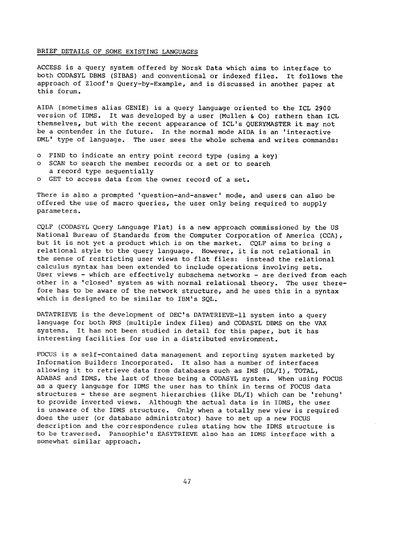### BRIEF DETAILS OF SOME EXISTING LANGUAGES

ACCESS is a query system offered by Norsk Data which aims to interface to both CODASYL DBMS (SIBAS) and conventional or indexed files. It follows the approach of Zloof's Query-by-Example, and is discussed in another paper at this forum.

AIDA (sometimes alias GENIE) is a query language oriented to the ICL 2900 version of IDMS. It was developed by a user (Mullen & Co) rathern than ICL themselves, but with the recent appearance of ICL's QUERYMASTER it may not be a contender in the future. In the normal mode AIDA is an 'interactive DML' type of language. The user sees the whole schema and writes commands:

- o FIND to indicate an entry point record type (using a key)
- o SCAN to search the member records or a set or to search
- a record type sequentially
- o GET to access data from the owner record of a set.

There is also a prompted 'question-and-answer' mode, and users can also be offered the use of macro queries, the user only being required to supply parameters.

CQLF (CODASYL Query Language Flat) is a new approach commissioned by the US National Bureau of Standards from the Computer Corporation of America (CCA), but it is not yet a product which is on the market. CQLF aims to bring a relational style to the query language. However, it is not relational in the sense of restricting user views to flat files: instead the relational calculus syntax has been extended to include operations involving sets. User views - which are effectively subschema networks - are derived from each other in a 'closed' system as with normal relational theory. The user therefore has to be aware of the network structure, and he uses this in a syntax which is designed to be similar to IBM's SQL.

DATATRIEVE is the development of DEC's DATATRIEVE-II system into a query language for both RMS (multiple index files) and CODASYL DBMS on the VAX systems. It has not been studied in detail for this paper, but it has interesting facilities for use in a distributed environment.

FOCUS is a self-contained data management and reporting system marketed by Information Builders Incorporated. It also has a number of interfaces allowing it to retrieve data from databases such as IMS ( $DL/I$ ), TOTAL, ADABAS and IDMS, the last of these being a CODASYL system. When using FOCUS as a query language for IDMS the user has to think in terms of FOCUS data structures - these are segment hierarchies (like DL/I) which can be 'rehung' to provide inverted views. Although the actual data is in IDMS, the user is unaware of the IDMS structure. Only when a totally new view is required does the user (or database administrator) have to set up a new FOCUS description and the correspondence rules stating how the IDMS structure is to be traversed. Pansophic's EASYTRIEVE also has an IDMS interface with a somewhat similar approach.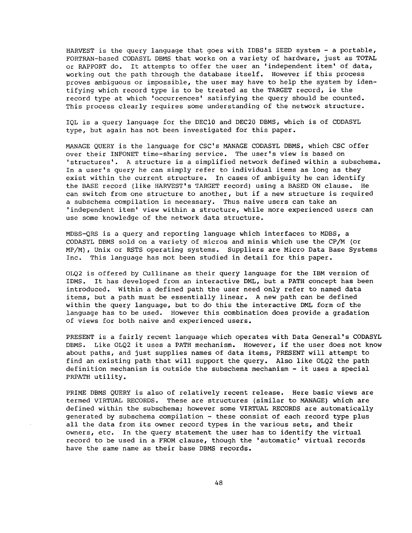HARVEST is the query language that goes with IDBS's SEED system - a portable, FORTRAN-based CODASYL DBMS that works on a variety of hardware, just as TOTAL or RAPPORT do. It attempts to offer the user an 'independent item' of data, working out the path through the database itself. However if this process proves ambiguous or impossible, the user may have to help the system by identifying which record type is to be treated as the TARGET record, ie the record type at which 'occurrences' satisfying the query should be counted. This process clearly requires some understanding of the network structure.

IQL is a query language for the DEC10 and DEC20 DBMS, which is of CODASYL type, but again has not been investigated for this paper.

MANAGE QUERY is the language for CSC's MANAGE CODASYL DBMS, which CSC offer over their INFONET time-sharing service. The user's view is based on 'structures'. A structure is a simplified network defined within a subschema. In a user's query he can simply refer to individual items as long as they exist within the current structure. In cases of ambiguity he can identify the BASE record (like HARVEST's TARGET record) using a BASED ON clause. He can switch from one structure to another, but if a new structure is required a subschema compilation is necessary. Thus naive users can take an 'independent item' view within a structure, while more experienced users can use some knowledge of the network data structure.

MDBS-QRS is a query and reporting language which interfaces to MDBS, a CODASYL DBMS sold on a variety of micros and minis which use the CP/M (or MP/M), Unix or RSTS operating systems. Suppliers are Micro Data Base Systems Inc. This language has not been studied in detail for this paper.

OLQ2 is offered by Cullinane as their query language for the IBM version of IDMS. It has developed from an interactive DML, but a PATH concept has been introduced. Within a defined path the user need only refer to named data items, but a path must be essentially linear. A new path can be defined within the query language, but to do this the interactive DML form of the language has to be used. However this combination does provide a gradation of views for both naive and experienced users.

PRESENT is a fairly recent language which operates with Data General's CODASYL DBMS. Like OLQ2 it uses a PATH mechanism. However, if the user does not know about paths, and just supplies names of data items, PRESENT will attempt to find an existing path that will support the query. Also like OLQ2 the path definition mechanism is outside the subschema mechanism - it uses a special PRPATH utility.

PRIME DBMS QUERY is also of relatively recent release. Here basic views are termed VIRTUAL RECORDS. These are structures (similar to MANAGE) which are defined within the subschema; however some VIRTUAL RECORDS are automatically generated by subschema compilation - these consist of each record type plus all the data from its owner record types in the various sets, and their owners, etc. In the query statement the user has to identify the virtual record to be used in a FROM clause, though the 'automatic' virtual records have the same name as their base DBMS records.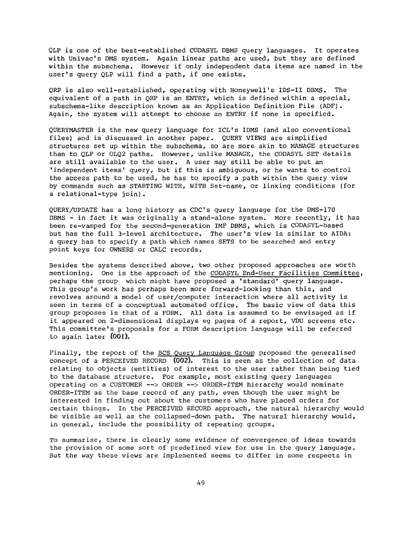QLP is one of the best-established CODASYL DBMS query languages. It operates with Univac's DMS system. Again linear paths are used, but they are defined within the subschema. However if only independent data items are named in the user's query QLP will find a path, if one exists.

QRP is also well-established, operating with Honeywell's IDS-II DBMS. The equivalent of a path in QRP is an ENTRY, which is defined within a special, subschema-like description known as an Application Definition File (ADF). Again, the system will attempt to choose an ENTRY if none is specified.

QUERYMASTER is the new query language for ICL's IDMS (and also conventional files) and is discussed in another paper. QUERY VIEWS are simplified structures set up within the subschema, so are more akin to MANAGE structures than to QLP or OLQ2 paths. However, unlike MANAGE, the CODASYL SET details are still available to the user. A user may still be able to put an 'independent items' query, but if this is ambiguous, or he wants to control the access path to be used, he has to specify a path within the query view by commands such as STARTING WITH, WITH Set-name, or linking conditions (for a relational-type join).

QUERY/UPDATE has a long history as CDC's query language for the DMS-170 DBMS **-** in fact it was originally a stand-alone system. More recently, it has been re-vamped for the second-generation IMF DBMS, which is CODASYL-based but has the full 3-1evel architecture. The user's view is similar to AIDA: a query has to specify a path which names SETS to be searched and entry point keys for OWNERS or CALC records.

Besides the systems described above, two other proposed approaches are worth mentioning. One is the approach of the CODASYL End-User Facilities Committee, perhaps the group which might have proposed a 'standard' query language. This group's work has perhaps been more forward-looking than this, and revolves around a model of user/computer interaction where all activity is seen in terms of a conceptual automated office. The basic view of data this group proposes is that of a FORM. All data is assumed to be envisaged as if it appeared on 2-dimensional displays eg pages of a report, VDU screens etc. This committee's proposals for a FORM description language will be referred to again later (00|).

Finally, the report of the BCS Query Language Group proposed the generalised concept of a PERCEIVED RECORD (002). This is seen as the collection of data relating to objects (entities) of interest to the user rather than being tied to the database structure. For example, most existing query languages operating on a CUSTOMER --> ORDER --> ORDER-ITEM hierarchy would nominate ORDER-ITEM as the base record of any path, even though the user might be interested in finding *out* about the customers who have placed orders for certain things. In the PERCEIVED RECORD approach, the natural hierarchy would be visible as well as the collapsed-down path. The natural hierarchy would, in general, include the possibility of repeating groups.

To summarise, there is clearly some evidence of convergence of ideas towards the provision of some sort of predefined view for use in the query language. But the way these views are implemented seems to differ in some respects in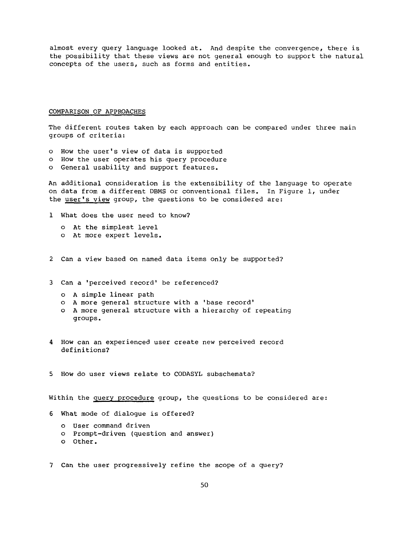almost every query language looked at. And despite the convergence, there is the possibility that these views are not general enough to support the natural concepts of the users, such as forms and entities.

### COMPARISON OF APPROACHES

The different routes taken by each approach can be compared under three main groups of criteria:

- o How the user's view of data is supported
- o How the user operates his query procedure
- o General usability and support features.

An additional consideration is the extensibility of the language to operate on data from a different DBMS or conventional files. In Figure i, under the user's view group, the questions to be considered are:

- What does the user need to know?
	- o At the simplest level
	- o At more expert levels.
- 2 Can a view based on named data items only be supported?
- Can a 'perceived record' be referenced?
	- o A simple linear path
	- o A more general structure with a 'base record'
	- o A more general structure with a hierarchy of repeating groups.
- 4 How can an experienced user create new perceived record definitions?
- 5 How do user views relate to CODASYL subschemata?

Within the query procedure group, the questions to be considered are:

- What mode of dialogue is offered?
	- o User command driven
	- o Prompt-driven (question and answer)
	- o Other.
- 7 Can the user progressively refine the scope of a query?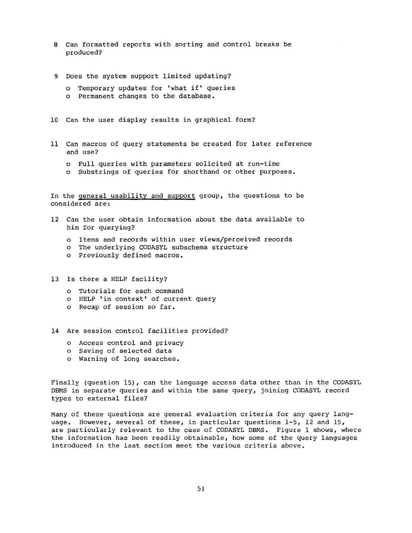- 8 Can formatted reports with sorting and control breaks be produced?
- 9 Does the system support limited updating?
	- o Temporary updates for 'what if' queries
	- o Permanent changes to the database.
- i0 Can the user display results in graphical form?
- ii Can macros of query statements be created for later reference and use?
	- o Full queries with parameters solicited at run-time
	- o Substrings of queries for shorthand or other purposes.

In the general usability and support group, the questions to be considered are:

- 12 Can the user obtain information about the data available to him for querying?
	- o Items and records within user views/perceived records
	- o The underlying CODASYL subschema structure
	- o Previously defined macros.
- 13 Is there a HELP facility?
	- o Tutorials for each command
	- o HELP 'in context' of current query
	- o Recap of session so far.
- 14 Are session control facilities provided?
	- o Access control and privacy
	- o Saving of selected data
	- o Warning of long searches.

Finally (question 15), can the language access data other than in the CODASYL DBMS in separate queries and within the same query, joining CODASYL record types to external files?

Many of these questions are general evaluation criteria for any query language. However, several of these, in particular questions 1-5, 12 and 15, are particularly relevant to the case of CODASYL DBMS. Figure 1 shows, where the information has been readily obtainable, how some of the query languages introduced in the last section meet the various criteria above.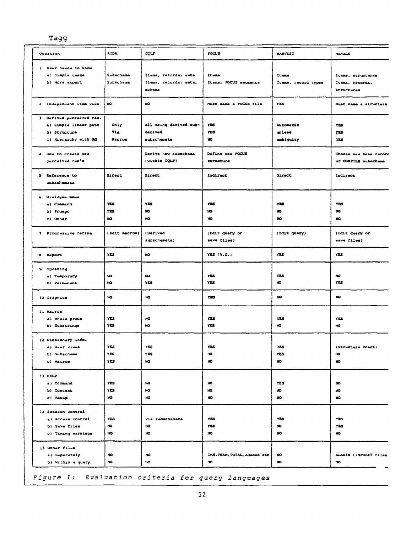# Tagg

| Question                                                                                  | <b>AIDA</b>                                      | œur                                                     | <b>FOCUS</b>                               | <b>HARVEST</b>                          | <b>HANAGE</b>                                      |
|-------------------------------------------------------------------------------------------|--------------------------------------------------|---------------------------------------------------------|--------------------------------------------|-----------------------------------------|----------------------------------------------------|
| 1 User needs to know<br>a) Simple usage<br>b) More expert                                 | Subscheme<br>Subschess                           | Items, records, sets<br>Items, records, sets,<br>schesa | Items<br>Items, FOCUS secments             | Items<br>Items, record types            | Items, structures<br>Items, records,<br>structures |
| 2. Independent its view                                                                   | NO                                               | NO                                                      | Must name a FOCUS file                     | YES                                     | Hust name a structure                              |
| 1 Defined perceived rec.<br>a) Simple linear path<br>b) Structure<br>c) Hierarchy with RG | Only<br>$V_{\perp}$<br>Macros                    | All using derived sub-<br>darived<br>subschemata        | <b>YES</b><br><b>YES</b><br>NO.            | <b>Automatic</b><br>unless<br>ambiguity | <b>YZS</b><br><b>YES</b><br>$\mathbf{r}$           |
| 4 How to create new<br>perceived red's                                                    |                                                  | Derive new subschema<br>(within CQLF)                   | Define new FOCUS<br>structure              |                                         | Choose new base record<br>or COMPILE subschees     |
| 5 Reference to<br>subschemata                                                             | Direct                                           | Direct                                                  | Indirect                                   | Direct                                  | Indirect                                           |
| e Dialogue mode<br>a) Command<br>b) Prompt<br>c) Other<br>7 Progressive refine            | <b>YES</b><br><b>YES</b><br>NO.<br>(Edit macros) | <b>YES</b><br>NO.<br>NO<br>(Derived                     | <b>YZS</b><br>NO.<br>NO.<br>(Edit query or | YES<br>¥0<br>NO.<br>(Edit query)        | YZS<br>NO<br>NO.<br>(Edit query or                 |
|                                                                                           |                                                  | subschemata)                                            | save files)                                |                                         | save files)                                        |
| 8 Report                                                                                  | <b>YES</b>                                       | <b>NO</b>                                               | YES (V.G.)                                 | YES                                     | <b>YES</b>                                         |
| 9 Updating<br>a) Temporary<br><b>b)</b> Permanent                                         | NO<br>NO.                                        | <b>NO</b><br><b>YES</b>                                 | <b>YES</b><br><b>YES</b>                   | <b>YES</b><br>NO.                       | NO.<br><b>YES</b>                                  |
| 10 Grapnics                                                                               | NO                                               | NO                                                      | <b>YES</b>                                 | NO.                                     | NQ                                                 |
| <b>Il Macros</b><br>al Whole procs<br>b) Substrings                                       | YES<br><b>YES</b>                                | NO.<br>NO.                                              | <b>YES</b><br>YES                          | <b>YES</b><br>NO.                       | <b>YES</b><br>NO.                                  |
| 12 Dictionary info.<br>a) Usur view <b>a</b><br>b) Subschema<br>c) Macros                 | YES<br><b>YES</b><br><b>YES</b>                  | 753<br>YES<br>NO.                                       | 153<br>NO.<br>NO                           | <b>YES</b><br><b>YES</b><br>NO.         | (Structure Chart)<br>NO.<br>NO                     |
| 13 HELP<br>a) Command<br>b) Contaxt<br>c) Recap                                           | YES<br><b>YES</b><br>NO.                         | NO<br>NO.<br>NO.                                        | NO<br>NO.<br>NO.                           | <b>YES</b><br>NO<br>NO.                 | NO.<br>NO.<br>NQ.                                  |
| 14 Session control<br>4) Access control<br>b) Save files<br>c) Timing warnings            | YES<br>NO.<br>NO.                                | via subschemata<br>NO.<br>NO.                           | YES<br><b>YES</b><br>NO.                   | YES<br>NO<br>NO.                        | YES<br>YES<br>NO.                                  |
| 15 Other files<br>a) Separately<br>b) Within a query                                      | NO<br>NO.                                        | NO.<br>NO.                                              | IMS. VSAM, TOTAL, ADABAS etc<br>NO.        | NO<br>w                                 | ALADIN (INFORET files<br>NO.                       |

Figure 1: Evaluation criteria for query languages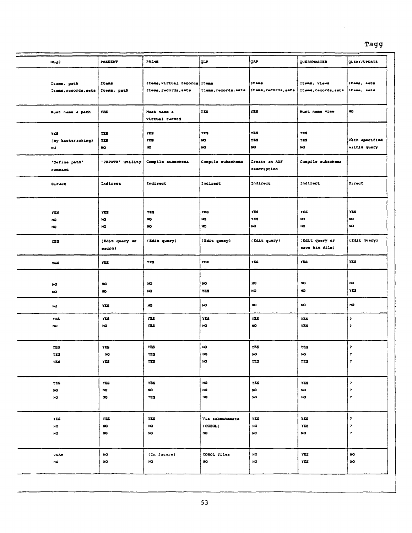Tagg

 $\bar{\mathcal{A}}$ 

| OLQ2                 | PRESENT          | PRIME                        | <b>QLP</b>           | QRP                  | QUERYMASTER          | QUERY/UPDATE            |
|----------------------|------------------|------------------------------|----------------------|----------------------|----------------------|-------------------------|
|                      |                  |                              |                      |                      |                      |                         |
|                      |                  |                              |                      |                      |                      |                         |
|                      |                  |                              |                      |                      |                      |                         |
| Items, path          | Itans            | Items, virtual records Items |                      | Items                | Items, views         | Items, sets             |
| Items, records, sets | Items, path      | Items, records, sets         | Items, records, sets | Itama, recorda, seta | Itams, records, sets | Itams, sets             |
|                      |                  |                              |                      |                      |                      |                         |
|                      |                  |                              |                      |                      |                      |                         |
| Hust name a path     | YES              | Must name a                  | <b>YES</b>           | <b>YES</b>           | Hust name view       | NO                      |
|                      |                  | virtual record               |                      |                      |                      |                         |
|                      |                  |                              |                      |                      |                      |                         |
|                      |                  | YES                          | <b>YES</b>           | <b>YES</b>           | <b>YES</b>           |                         |
| YES                  | <b>YES</b>       |                              |                      |                      |                      |                         |
| (by backtracking)    | <b>YES</b>       | <b>YES</b>                   | NO.                  | <b>YES</b>           | <b>YES</b>           | Path specified          |
| <b>NO</b>            | NO.              | NO.                          | NO                   | NO.                  | NO.                  | vithin query            |
|                      |                  |                              |                      |                      |                      |                         |
| 'Define path'        | 'PRPATH' utility | Compile subschess            | Compile subschema    | Create an ADF        | Compile subschema    |                         |
| command              |                  |                              |                      | description          |                      |                         |
|                      |                  |                              |                      |                      |                      |                         |
| Direct               | Indirect         | Indirect                     | Indirect             | Indirect             | Indirect             | Direct                  |
|                      |                  |                              |                      |                      |                      |                         |
|                      |                  |                              |                      |                      |                      |                         |
|                      |                  |                              |                      |                      |                      |                         |
|                      |                  |                              |                      |                      |                      |                         |
| YES                  | <b>YES</b>       | YES                          | <b>YES</b>           | <b>YES</b>           | YES                  | YZS                     |
| NO.                  | NO.              | NO                           | NO.                  | <b>YES</b>           | NO.                  | NO                      |
| NO                   | NO               | NO.                          | NO                   | NO                   | NO                   | NO                      |
|                      |                  |                              |                      |                      |                      |                         |
|                      | (Edit query or   | (Edit query)                 | (Edit query)         | (Edit query)         | (Edit query or       | (Edit query)            |
| <b>YES</b>           |                  |                              |                      |                      |                      |                         |
|                      | aacro)           |                              |                      |                      | save hit file)       |                         |
|                      |                  |                              |                      |                      |                      |                         |
| YES                  | YES              | <b>YES</b>                   | YES                  | YES                  | YES                  | YES                     |
|                      |                  |                              |                      |                      |                      |                         |
|                      |                  |                              |                      |                      |                      |                         |
| NO                   | NO               | NO.                          | NO                   | NO                   | NO.                  | NO.                     |
| NO.                  | NO.              | NO                           | <b>YES</b>           | NO                   | NO.                  | YES                     |
|                      |                  |                              |                      |                      |                      |                         |
|                      |                  |                              | NO.                  | NO                   | NO.                  | NO.                     |
| w                    | YES              | NO.                          |                      |                      |                      |                         |
|                      |                  |                              |                      |                      |                      |                         |
| <b>YES</b>           | <b>YES</b>       | YES                          | <b>YES</b>           | YES                  | <b>YES</b>           | $\overline{\mathbf{r}}$ |
| NO                   | NO.              | <b>YES</b>                   | NO                   | NO                   | <b>YES</b>           | $\pmb{?}$               |
|                      |                  |                              |                      |                      |                      |                         |
|                      |                  |                              |                      |                      |                      |                         |
| YES                  | <b>YES</b>       | YES                          | NO.                  | <b>YES</b>           | YES                  | $\bullet$               |
| <b>AER</b>           |                  | IШ                           |                      | NU.                  | NU.                  |                         |
| YES                  | YES              | YES                          | NO.                  | YES                  | YES                  | $\pmb{\mathcal{V}}$     |
|                      |                  |                              |                      |                      |                      |                         |
|                      |                  |                              |                      |                      |                      |                         |
|                      |                  |                              |                      |                      |                      |                         |
| YES                  | YES              | YES                          | NO.                  | YES                  | YES                  | $\pmb{\gamma}$          |
| NO.                  | NO               | <b>NO</b>                    | NO                   | NO                   | NO.                  | $\pmb{\cdot}$           |
| NO.                  | NO.              | YES                          | NO                   | NO                   | NO.                  | $\pmb{\cdot}$           |
|                      |                  |                              |                      |                      |                      |                         |
|                      |                  |                              |                      |                      |                      |                         |
| YES                  | YES              | YES                          | Via subschamata      | YES                  | YES                  | $\pmb{\gamma}$          |
| NO                   | NO.              | $\overline{\text{NO}}$       | (CDBOL)              | NO                   | <b>YES</b>           | $\overline{\mathbf{z}}$ |
|                      | NO.              | NO                           | NO.                  | NO.                  | NO                   | $\pmb{\cdot}$           |
| NO.                  |                  |                              |                      |                      |                      |                         |
|                      |                  |                              |                      |                      |                      |                         |
|                      |                  |                              |                      |                      |                      |                         |
| <b>VSAN</b>          | NO               | (In future)                  | COBOL files          | NO.                  | YES                  | $\mathbf{so}$           |
| NO                   | NO.              | NO                           | NO.                  | NO                   | <b>TES</b>           | NO.                     |
|                      |                  |                              |                      |                      |                      |                         |
|                      |                  |                              |                      |                      |                      |                         |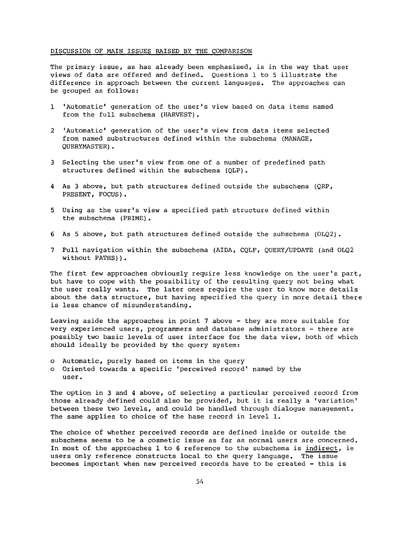### DISCUSSION OF MAIN ISSUES RAISED BY THE COMPARISON

The primary issue, as has already been emphasised, is in the way that user views of data are offered and defined. Questions 1 to 5 illustrate the difference in approach between the current languages. The approaches can be grouped as follows:

- 1 'Automatic' generation of the user's view based on data items named from the full subschema (HARVEST).
- 'Automatic' generation of the user's view from data items selected from named substructures defined within the subschema (MANAGE, QUERYMASTER).
- 3 Selecting the user's view from one of a number of predefined path structures defined within the subschema (QLP).
- 4 As 3 above, but path structures defined outside the subschema (QRP, PRESENT, FOCUS).
- 5 Using as the user's view a specified path structure defined within the subschema (PRIME).
- 6 As 5 above, but path structures defined outside the subschema (OLQ2).
- 7 Full navigation within the subschema (AIDA, CQLF, QUERY/UPDATE (and OLQ2 without PATHS)).

The first few approaches obviously require less knowledge on the user's part, but have to cope with the possibility of the resulting query not being what the user really wants. The later ones require the user to know more details about the data structure, but having specified the query in more detail there is less chance of misunderstanding.

Leaving aside the approaches in point 7 above - they are more suitable for very experienced users, programmers and database administrators - there are possibly two basic levels of user interface for the data view, both of which should ideally be provided by the query system:

- o Automatic, purely based on items in the query
- o Oriented towards a specific 'perceived record' named by the user.

The option in 3 and 4 above, of selecting a particular perceived record from those already defined could also be provided, but it is really a 'variation' between these two levels, and could be handled through dialogue management. The same applies to choice of the base record in level 1.

The choice of whether perceived records are defined inside or outside the subschema seems to be a cosmetic issue as far as normal users are concerned. In most of the approaches 1 to 6 reference to the subschema is indirect, ie users only reference constructs local to the query language. The issue becomes important when new perceived records have to be created - this is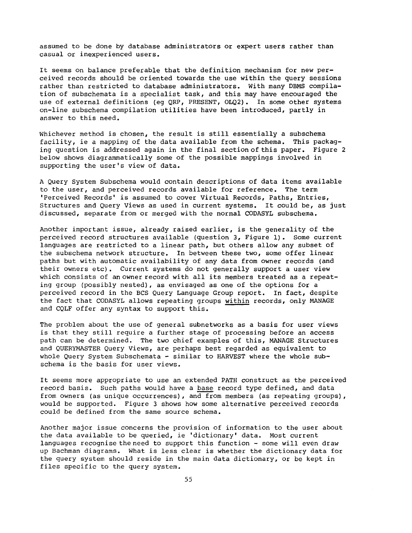assumed to be done by database administrators or expert users rather than casual or inexperienced users.

It seems on balance preferable that the definition mechanism for new perceived records should be oriented towards the use within the query sessions rather than restricted to database administrators. With many DBMS compilation of subschemata is a specialist task, and this may have encouraged the use of external definitions (eg QRP, PRESENT, OLQ2). In some other systems on-line subschema compilation utilities have been introduced, partly in answer to this need.

Whichever method is chosen, the result is still essentially a subschema facility, ie a mapping of the data available from the schema. This packaging question is addressed again in the final section of this paper. Figure 2 below shows diagrammatically some of the possible mappings involved in supporting the user's view of data.

A Query System Subschema would contain descriptions of data items available to the user, and perceived records available for reference. The term 'Perceived Records' is assumed to cover Virtual Records, Paths, Entries, Structures and Query Views as used in current systems. It could be, as just discussed, separate from or merged with the normal CODASYL subschema.

Another important issue, already raised earlier, is the generality of the perceived record structures available (question 3, Figure i). Some current languages are restricted to a linear path, but others allow any subset of the subschema network structure. In between these two, some offer linear paths but with automatic availability of any data from owner records (and their owners etc). Current systems do not generally support a user view which consists of an owner record with all its members treated as a repeating group (possibly nested), as envisaged as one of the options for a perceived record in the BCS Query Language Group report. In fact, despite the fact that CODASYL allows repeating groups within records, only MANAGE and CQLF offer any syntax to support this.

The problem about the use of general subnetworks as a basis for user views is that they still require a further stage of processing before an access path can be determined. The two chief examples of this, MANAGE Structures and QUERYMASTER Query Views, are perhaps best regarded as equivalent to whole Query System Subschemata - similar to HARVEST where the whole subschema is the basis for user views.

It seems more appropriate to use an extended PATH construct as the perceived record basis. Such paths would have a base record type defined, and data from owners (as unique occurrences), and from members (as repeating groups), would be supported. Figure 3 shows how some alternative perceived records could be defined from the same source schema.

Another major issue concerns the provision of information to the user about the data available to be queried, ie 'dictionary' data. Most current languages recognise the need to support this function - some will even draw up Bachman diagrams. What is less clear is whether the dictionary data for the query system should reside in the main data dictionary, or be kept in files specific to the query system.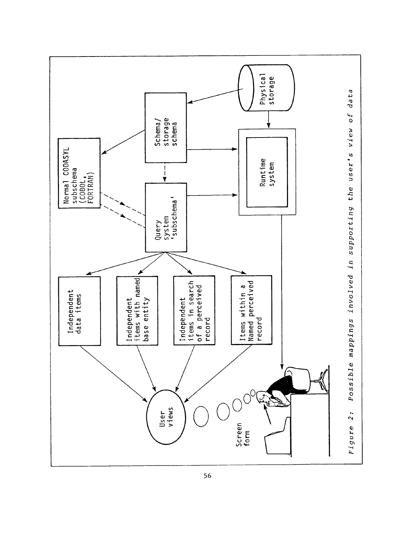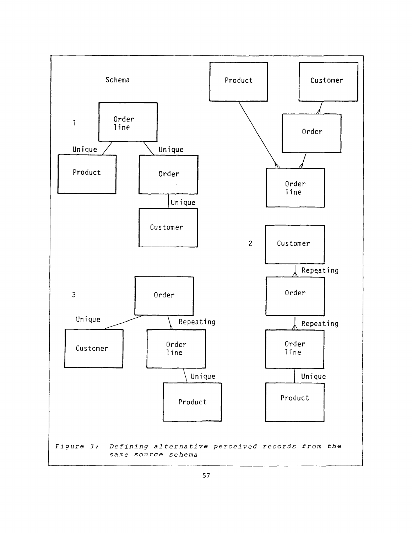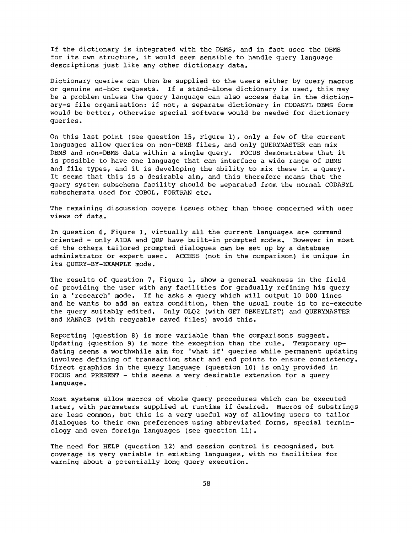If the dictionary is integrated with the DBMS, and in fact uses the DBMS for its own structure, it would seem sensible to handle query language descriptions just like any other dictionary data.

Dictionary queries can then be supplied to the users either by query macros or genuine ad-hoc requests. If a stand-alone dictionary is used, this may be a problem unless the query language can also access data in the dictionary-s file organisation: if not, a separate dictionary in CODASYL DBMS form would be better, otherwise special software would be needed for dictionary queries.

On this last point (see question 15, Figure i), only a few of the current languages allow queries on non-DBMS files, and only QUERYMASTER can mix DBMS and non-DBMS data within a single query. FOCUS demonstrates that it is possible to have one language that can interface a wide range of DBMS and file types, and it is developing the ability to mix these in a query. It seems that this is a desirable aim, and this therefore means that the query system subschema facility should be separated from the normal CODASYL subschemata used for COBOL, FORTRAN etc.

The remaining discussion covers issues other than those concerned with user views of data.

In question 6, Figure i, virtually all the current languages are command oriented - only AIDA and QRP have built-in prompted modes. However in most of the others tailored prompted dialogues can be set up by a database administrator or expert user. ACCESS (not in the comparison) is unique in its QUERY-BY-EXAMPLE mode.

The results of question 7, Figure 1, show a general weakness in the field of providing the user with any facilities for gradually refining his query in a 'research' mode. If he asks a query which will output i0 000 lines and he wants to add an extra condition, then the usual route is to re-execute the query suitably edited. Only OLQ2 (with GET DBKEYLIST) and QUERYMASTER and MANAGE (with recycable saved files) avoid this.

Reporting (question 8) is more variable than the comparisons suggest. Updating (question 9) is more the exception than the rule. Temporary updating seems a worthwhile aim for 'what if' queries while permanent updating involves defining of transaction start and end points to ensure consistency. Direct graphics in the query language (question i0) is only provided in FOCUS and PRESENT **-** this seems a very desirable extension for a query language.

Most systems allow macros of whole query procedures which can be executed later, with parameters supplied at runtime if desired. Macros of substrings are less common, but this is a very useful way of allowing users to tailor dialogues to their own preferences using abbreviated forms, special terminology and even foreign languages (see question 11).

The need for HELP (question 12) and session control is recognised, but coverage is very variable in existing languages, with no facilities for warning about a potentially long query execution.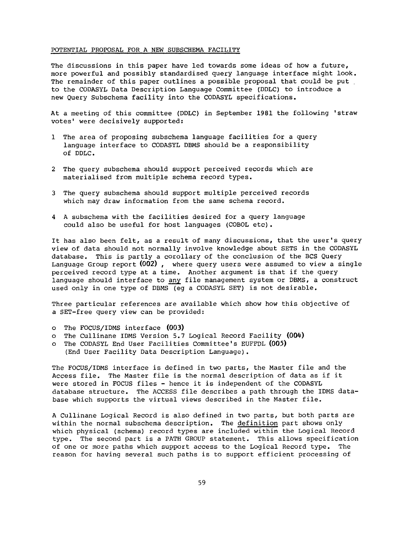#### POTENTIAL PROPOSAL FOR A NEW SUBSCHEMA FACILITY

The discussions in this paper have led towards some ideas of how a future, more powerful and possibly standardised query language interface might look. The remainder of this paper outlines a possible proposal that could be put to the CODASYL Data Description Language Committee (DDLC) to introduce a new Query Subschema facility into the CODASYL specifications.

At a meeting of this committee (DDLC) in September 1981 the following 'straw votes' were decisively supported:

- 1 The area of proposing subschema language facilities for a query language interface to CODASYL DBMS should be a responsibility of DDLC.
- 2 The query subschema should support perceived records which are materialised from multiple schema record types.
- 3 The query subschema should support multiple perceived records which may draw information from the same schema record.
- 4 A subschema with the facilities desired for a query language could also be useful for host languages (COBOL etc).

It has also been felt, as a result of many discussions, that the user's query view of data should not normally involve knowledge about SETS in the CODASYL database. This is partly a corollary of the conclusion of the BCS Query Language Group report (002) , where query users were assumed to view a single perceived record type at a time. Another argument is that if the query language should interface to any file management system or DBMS, a construct used only in one type of DBMS (eg a CODASYL SET) is not desirable.

Three particular references are available which show how this objective of a SET-free query view can be provided:

- o The FOCUS/IDMS interface (003)
- o The Cullinane IDMS Version 5.7 Logical Record Facility (004)
- o The CODASYL End User Facilities Committee's EUFFDL (005)
- (End User Facility Data Description Language).

The FOCUS/IDMS interface is defined in two parts, the Master file and the Access file. The Master file is the normal description of data as if it were stored in FOCUS files - hence it is independent of the CODASYL database structure. The ACCESS file describes a path through the IDMS database which supports the virtual views described in the Master file.

A Cullinane Logical Record is also defined in two parts, but both parts are within the normal subschema description. The definition part shows only which physical (schema) record types are included within the Logical Record type. The second part is a PATH GROUP statement. This allows specification of one or more paths which support access to the Logical Record type. The reason for having several such paths is to support efficient processing of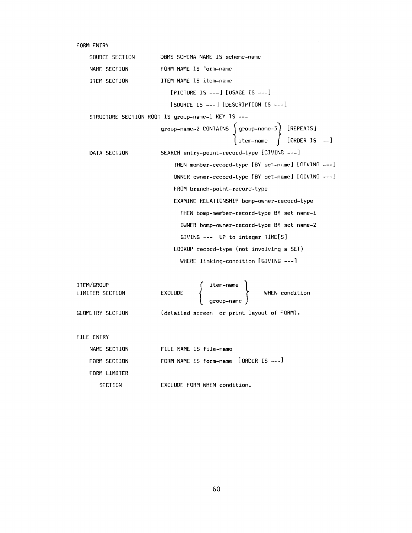| FORM ENTRY     |                                                                                                                      |
|----------------|----------------------------------------------------------------------------------------------------------------------|
| SOURCE SECTION | DBMS SCHEMA NAME IS scheme-name                                                                                      |
| NAME SECTION   | FORM NAME IS form-name                                                                                               |
| ITEM SECTION   | ITEM NAME IS item-name                                                                                               |
|                | [PICTURE IS ---] [USAGE IS ---]                                                                                      |
|                | [SOURCE IS ---] [DESCRIPTION IS ---]                                                                                 |
|                | STRUCTURE SECTION ROOT IS group-name-1 KEY IS ---                                                                    |
|                | group-name-2 CONTAINS $\left\{\begin{array}{l}\text{group-name-$3$}\\ \text{item-name}\end{array}\right\}$ [REPEATS] |
|                |                                                                                                                      |
| DATA SECTION   | SEARCH entry-point-record-type [GIVING ---]                                                                          |
|                | THEN member-record-type [BY set-name] [GIVING ---]                                                                   |
|                | OWNER owner-record-type [BY set-name] [GIVING ---]                                                                   |
|                | FROM branch-point-record-type                                                                                        |
|                | EXAMINE RELATIONSHIP bomp-owner-record-type                                                                          |
|                | THEN bomp-member-record-type BY set name-1                                                                           |
|                | OWNER bomp-owner-record-type BY set name-2                                                                           |
|                | GIVING --- UP to integer TIME[S]                                                                                     |
|                | LOOKUP record-type (not involving a SET)                                                                             |
|                | WHERE linking-condition [GIVING ---]                                                                                 |
| ITEM/GROUP     | $\int$ item-name $\int$                                                                                              |

| ITEM/GROUP        |                          | item-name                                  |                |
|-------------------|--------------------------|--------------------------------------------|----------------|
| LIMITER SECTION   | <b>EXCLUDE</b>           | $group$ -name $\int$                       | WHEN condition |
| GEOMETRY SECTION  |                          | (detailed screen or print layout of FORM). |                |
| <b>FILE ENTRY</b> |                          |                                            |                |
| NAME CECTION      | $ETLE$ MAME IC $E1$ hann |                                            |                |

| NAME SECTION   | FILE NAME IS file-name                |
|----------------|---------------------------------------|
| FORM SECTION   | FORM NAME IS form-name [ORDER IS ---] |
| FORM LIMITER   |                                       |
| <b>SECTION</b> | EXCLUDE FORM WHEN condition.          |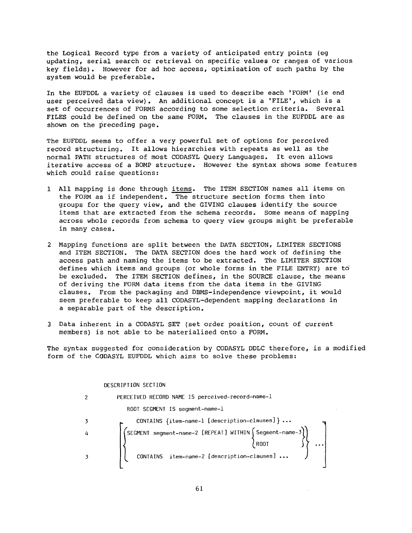the Logical Record type from a variety of anticipated entry points (eg updating, serial search or retrieval on specific values or ranges of various key fields). However for ad hoc access, optimisation of such paths by the system would be preferable.

In the EUFDDL a variety of clauses is used to describe each 'FORM' (ie end user perceived data view). An additional concept is a 'FILE', which is a set of occurrences of FORMS according to some selection criteria. Several FILES could be defined on the same FORM. The clauses in the EUFDDL are as shown on the preceding page.

The EUFDDL seems to offer a very powerful set of options for perceived record structuring. It allows hierarchies with repeats as well as the normal PATH structures of most CODASYL Query Languages. It even allows iterative access of a BOMP structure. However the syntax shows some features which could raise questions:

- 1 All mapping is done through items. The ITEM SECTION names all items on the FORM as if independent. The structure section forms them into groups for the query view, and the GIVING clauses identify the source items that are extracted from the schema records. Some means of mapping across whole records from schema to query view groups might be preferable in many cases.
- 2 Mapping functions are split between the DATA SECTION, LIMITER SECTIONS and ITEM SECTION. The DATA SECTION does the hard work of defining the access path and naming the items to be extracted. The LIMITER SECTION defines which items and groups (or whole forms in the FILE ENTRY) are to be excluded. The ITEM SECTION defines, in the SOURCE clause, the means of deriving the FORM data items from the data items in the GIVING clauses. From the packaging and DBMS-independence viewpoint, it would seem preferable to keep all CODASYL-dependent mapping declarations in a separable part of the description.
- 3 Data inherent in a CODASYL SET (set order position, count of current members) is not able to be materialised onto a FORM.

The syntax suggested for consideration by CODASYL DDLC therefore, is a modified form of the CODASYL EUFDDL which aims to solve these problems:

DESCRIPTION SECTION

PERCEIVED RECORD NAME IS perceived-record-name-1 ROOT SEGMENT IS segment-name-1 CONTAINS {item-name-i [description-clauses]} ... I I ISEGMENT segment-name-2 [REPEAT] WITHINISegment-name-3~ H ~ROOT q.. **[** ~ CONTAINS item-name-2 [description-clauses] ... )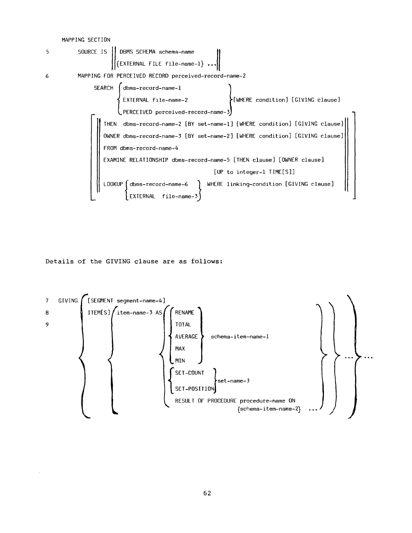MAPPING SECTION

 $\ddot{\phantom{a}}$ 

SOURCE IS II DBMS SCHEMA schema-name **Jl**  If{EXTERNAL FILE file-name-I} ...H MAPPING FOR PERCEIVED RECORD perceived-record-name-2 SEARCH F dbms-rec°rd-name-I ~EXTERNAL file-name-2 ~[WHERE condition] [GIVING clause] ~. PERCEIVED per ceived-record-name-3] THEN dbms-record-name-2 [BY set-name-i] [WHERE condition] [GIVING clause]ll OWNER dbms-record-name-3 [BY set-name-2] [WHERE condition] [GIVING clause]ll FROM dbms-record-name-4 II EXAMINE RELATIONSHIP dbms-record-name-5 [THEN clause] [OWNER clause] II [UP to integer-1 TIME[S]] II LOOKUPIdbms-record-name-6 ~ WHERE linking~condition [GIVING clause] II \_ L EXTERNAL file-name-3~

Details of the GIVING clause are as follows:

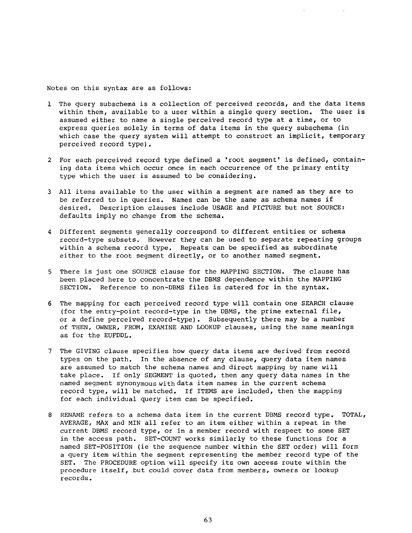Notes on this syntax are as follows:

- 1 The query subschema is a collection of perceived records, and the data items within them, available to a user within a single query section. The user is assumed either to name a single perceived record type at a time, or to express queries solely in terms of data items in the query subschema (in which case the query system will attempt to construct an implicit, temporary perceived record type).
- For each perceived record type defined a 'root segment' is defined, containing data items which occur once in each occurrence of the primary entity type which the user is assumed to be considering.
- 3 All items available to the user within a segment are named as they are to be referred to in queries. Names can be the same as schema names if desired. Description clauses include USAGE and PICTURE but not SOURCE: defaults imply no change from the schema.
- 4 Different segments generally correspond to different entities or schema record-type subsets. However they can be used to separate repeating groups within a schema record type. Repeats can be specified as subordinate either to the root segment directly, or to another named segment.
- There is just one SOURCE clause for the MAPPING SECTION. The clause has been placed here to concentrate the DBMS dependence within the MAPPING SECTION. Reference to non-DBMS files is catered for in the syntax.
- 6 The mapping for each perceived record type will contain one SEARCH clause (for the entry-point record-type in the DBMS, the prime external file, or a define perceived record-type). Subsequently there may be a number of THEN, OWNER, FROM, EXAMINE AND LOOKUP clauses, using the same meanings as for the EUFDDL.
- 7 The GIVING clause specifies how query data items are derived from record types on the path. In the absence of any clause, query data item names are assumed to match the schema names and direct mapping by name will take place. If only SEGMENT is quoted, then any query data names in the named segment synonymous with data item names in the current schema record type, will be matched. If ITEMS are included, then the mapping for each individual query item can be specified.
- RENAME refers to a schema data item in the current DBMS record type. TOTAL, AVERAGE, MAX and MIN all refer to an item either within a repeat in the current DBMS record type, or in a member record with respect to some SET in the access path. SET-COUNT works similarly to these functions for a named SET-POSITION (ie the sequence number within the SET order) will form a query item within the segment representing the member record type of the SET. The PROCEDURE option will specify its own access route within the procedure itself, but could cover data from members, owners or lookup records.